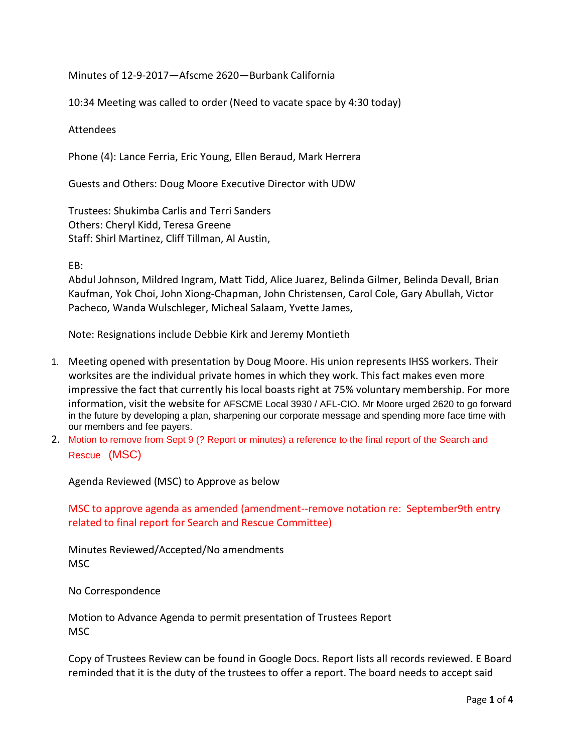Minutes of 12-9-2017—Afscme 2620—Burbank California

10:34 Meeting was called to order (Need to vacate space by 4:30 today)

Attendees

Phone (4): Lance Ferria, Eric Young, Ellen Beraud, Mark Herrera

Guests and Others: Doug Moore Executive Director with UDW

Trustees: Shukimba Carlis and Terri Sanders Others: Cheryl Kidd, Teresa Greene Staff: Shirl Martinez, Cliff Tillman, Al Austin,

EB:

Abdul Johnson, Mildred Ingram, Matt Tidd, Alice Juarez, Belinda Gilmer, Belinda Devall, Brian Kaufman, Yok Choi, John Xiong-Chapman, John Christensen, Carol Cole, Gary Abullah, Victor Pacheco, Wanda Wulschleger, Micheal Salaam, Yvette James,

Note: Resignations include Debbie Kirk and Jeremy Montieth

- 1. Meeting opened with presentation by Doug Moore. His union represents IHSS workers. Their worksites are the individual private homes in which they work. This fact makes even more impressive the fact that currently his local boasts right at 75% voluntary membership. For more information, visit the website for AFSCME Local 3930 / AFL-CIO. Mr Moore urged 2620 to go forward in the future by developing a plan, sharpening our corporate message and spending more face time with our members and fee payers.
- 2. Motion to remove from Sept 9 (? Report or minutes) a reference to the final report of the Search and Rescue (MSC)

Agenda Reviewed (MSC) to Approve as below

MSC to approve agenda as amended (amendment--remove notation re: September9th entry related to final report for Search and Rescue Committee)

Minutes Reviewed/Accepted/No amendments MSC

No Correspondence

Motion to Advance Agenda to permit presentation of Trustees Report **MSC** 

Copy of Trustees Review can be found in Google Docs. Report lists all records reviewed. E Board reminded that it is the duty of the trustees to offer a report. The board needs to accept said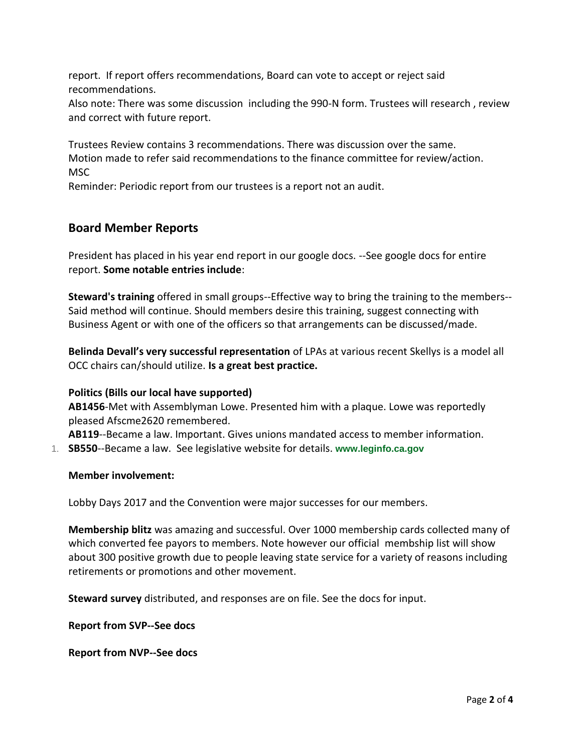report. If report offers recommendations, Board can vote to accept or reject said recommendations.

Also note: There was some discussion including the 990-N form. Trustees will research , review and correct with future report.

Trustees Review contains 3 recommendations. There was discussion over the same. Motion made to refer said recommendations to the finance committee for review/action. **MSC** 

Reminder: Periodic report from our trustees is a report not an audit.

# **Board Member Reports**

President has placed in his year end report in our google docs. --See google docs for entire report. **Some notable entries include**:

**Steward's training** offered in small groups--Effective way to bring the training to the members-- Said method will continue. Should members desire this training, suggest connecting with Business Agent or with one of the officers so that arrangements can be discussed/made.

**Belinda Devall's very successful representation** of LPAs at various recent Skellys is a model all OCC chairs can/should utilize. **Is a great best practice.**

# **Politics (Bills our local have supported)**

**AB1456**-Met with Assemblyman Lowe. Presented him with a plaque. Lowe was reportedly pleased Afscme2620 remembered.

**AB119**--Became a law. Important. Gives unions mandated access to member information.

1. **SB550**--Became a law. See legislative website for details. **www.leginfo.ca.gov**

# **Member involvement:**

Lobby Days 2017 and the Convention were major successes for our members.

**Membership blitz** was amazing and successful. Over 1000 membership cards collected many of which converted fee payors to members. Note however our official membship list will show about 300 positive growth due to people leaving state service for a variety of reasons including retirements or promotions and other movement.

**Steward survey** distributed, and responses are on file. See the docs for input.

**Report from SVP--See docs**

**Report from NVP--See docs**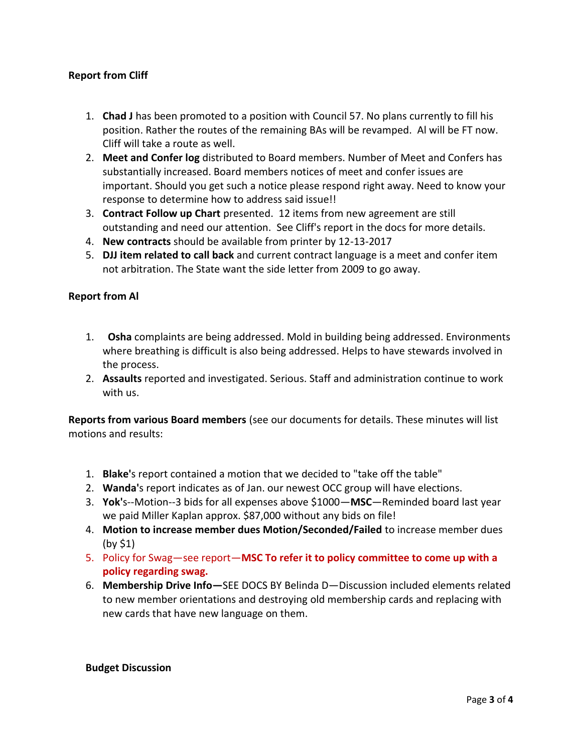# **Report from Cliff**

- 1. **Chad J** has been promoted to a position with Council 57. No plans currently to fill his position. Rather the routes of the remaining BAs will be revamped. Al will be FT now. Cliff will take a route as well.
- 2. **Meet and Confer log** distributed to Board members. Number of Meet and Confers has substantially increased. Board members notices of meet and confer issues are important. Should you get such a notice please respond right away. Need to know your response to determine how to address said issue!!
- 3. **Contract Follow up Chart** presented. 12 items from new agreement are still outstanding and need our attention. See Cliff's report in the docs for more details.
- 4. **New contracts** should be available from printer by 12-13-2017
- 5. **DJJ item related to call back** and current contract language is a meet and confer item not arbitration. The State want the side letter from 2009 to go away.

# **Report from Al**

- 1. **Osha** complaints are being addressed. Mold in building being addressed. Environments where breathing is difficult is also being addressed. Helps to have stewards involved in the process.
- 2. **Assaults** reported and investigated. Serious. Staff and administration continue to work with us.

**Reports from various Board members** (see our documents for details. These minutes will list motions and results:

- 1. **Blake'**s report contained a motion that we decided to "take off the table"
- 2. **Wanda'**s report indicates as of Jan. our newest OCC group will have elections.
- 3. **Yok'**s--Motion--3 bids for all expenses above \$1000—**MSC**—Reminded board last year we paid Miller Kaplan approx. \$87,000 without any bids on file!
- 4. **Motion to increase member dues Motion/Seconded/Failed** to increase member dues (by \$1)
- 5. Policy for Swag—see report—**MSC To refer it to policy committee to come up with a policy regarding swag.**
- 6. **Membership Drive Info—**SEE DOCS BY Belinda D—Discussion included elements related to new member orientations and destroying old membership cards and replacing with new cards that have new language on them.

#### **Budget Discussion**